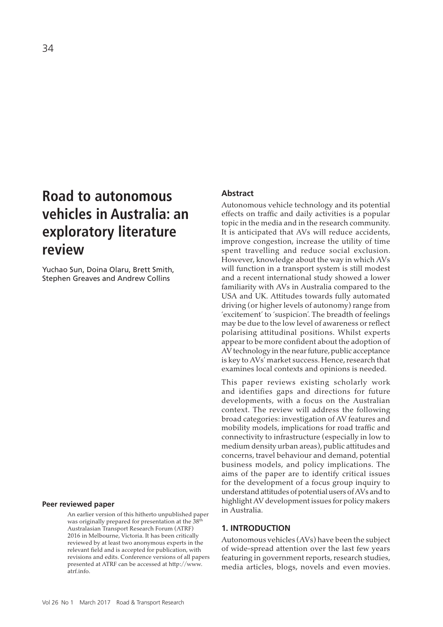# **Road to autonomous vehicles in Australia: an exploratory literature review**

Yuchao Sun, Doina Olaru, Brett Smith, Stephen Greaves and Andrew Collins

## **Peer reviewed paper**

An earlier version of this hitherto unpublished paper was originally prepared for presentation at the  $38<sup>th</sup>$ Australasian Transport Research Forum (ATRF) 2016 in Melbourne, Victoria. It has been critically reviewed by at least two anonymous experts in the relevant field and is accepted for publication, with revisions and edits. Conference versions of all papers presented at ATRF can be accessed at http://www. atrf.info.

## **Abstract**

Autonomous vehicle technology and its potential effects on traffic and daily activities is a popular topic in the media and in the research community. It is anticipated that AVs will reduce accidents, improve congestion, increase the utility of time spent travelling and reduce social exclusion. However, knowledge about the way in which AVs will function in a transport system is still modest and a recent international study showed a lower familiarity with AVs in Australia compared to the USA and UK. Attitudes towards fully automated driving (or higher levels of autonomy) range from 'excitement' to 'suspicion'. The breadth of feelings may be due to the low level of awareness or reflect polarising attitudinal positions. Whilst experts appear to be more confident about the adoption of AV technology in the near future, public acceptance is key to AVs' market success. Hence, research that examines local contexts and opinions is needed.

This paper reviews existing scholarly work and identifies gaps and directions for future developments, with a focus on the Australian context. The review will address the following broad categories: investigation of AV features and mobility models, implications for road traffic and connectivity to infrastructure (especially in low to medium density urban areas), public attitudes and concerns, travel behaviour and demand, potential business models, and policy implications. The aims of the paper are to identify critical issues for the development of a focus group inquiry to understand attitudes of potential users of AVs and to highlight AV development issues for policy makers in Australia.

#### **1. INTRODUCTION**

Autonomous vehicles (AVs) have been the subject of wide-spread attention over the last few years featuring in government reports, research studies, media articles, blogs, novels and even movies.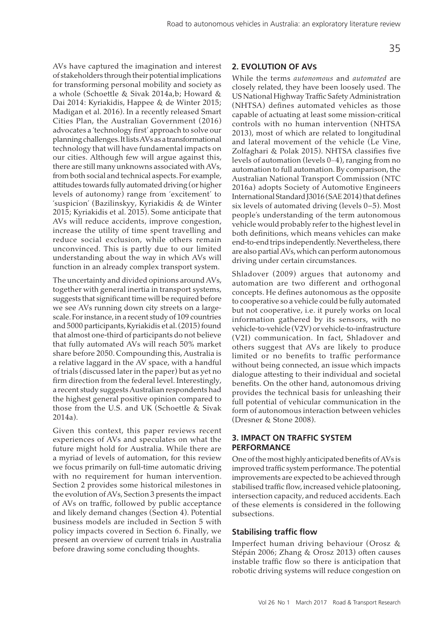AVs have captured the imagination and interest of stakeholders through their potential implications for transforming personal mobility and society as a whole (Schoettle & Sivak 2014a,b; Howard & Dai 2014: Kyriakidis, Happee & de Winter 2015; Madigan et al. 2016). In a recently released Smart Cities Plan, the Australian Government (2016) advocates a 'technology first' approach to solve our planning challenges. It lists AVs as a transformational technology that will have fundamental impacts on our cities. Although few will argue against this, there are still many unknowns associated with AVs, from both social and technical aspects. For example, attitudes towards fully automated driving (or higher levels of autonomy) range from 'excitement' to 'suspicion' (Bazilinskyy, Kyriakidis & de Winter 2015; Kyriakidis et al. 2015). Some anticipate that AVs will reduce accidents, improve congestion, increase the utility of time spent travelling and reduce social exclusion, while others remain unconvinced. This is partly due to our limited understanding about the way in which AVs will function in an already complex transport system.

The uncertainty and divided opinions around AVs, together with general inertia in transport systems, suggests that significant time will be required before we see AVs running down city streets on a largescale. For instance, in a recent study of 109 countries and 5000 participants, Kyriakidis et al. (2015) found that almost one-third of participants do not believe that fully automated AVs will reach 50% market share before 2050. Compounding this, Australia is a relative laggard in the AV space, with a handful of trials (discussed later in the paper) but as yet no firm direction from the federal level. Interestingly, a recent study suggests Australian respondents had the highest general positive opinion compared to those from the U.S. and UK (Schoettle & Sivak 2014a).

Given this context, this paper reviews recent experiences of AVs and speculates on what the future might hold for Australia. While there are a myriad of levels of automation, for this review we focus primarily on full-time automatic driving with no requirement for human intervention. Section 2 provides some historical milestones in the evolution of AVs, Section 3 presents the impact of AVs on traffic, followed by public acceptance and likely demand changes (Section 4). Potential business models are included in Section 5 with policy impacts covered in Section 6. Finally, we present an overview of current trials in Australia before drawing some concluding thoughts.

## **2. EVOLUTION OF AVS**

While the terms *autonomous* and *automated* are closely related, they have been loosely used. The US National Highway Traffic Safety Administration (NHTSA) defines automated vehicles as those capable of actuating at least some mission-critical controls with no human intervention (NHTSA 2013), most of which are related to longitudinal and lateral movement of the vehicle (Le Vine, Zolfaghari & Polak 2015). NHTSA classifies five levels of automation (levels 0−4), ranging from no automation to full automation. By comparison, the Australian National Transport Commission (NTC 2016a) adopts Society of Automotive Engineers International Standard J3016 (SAE 2014) that defines six levels of automated driving (levels 0–5). Most people's understanding of the term autonomous vehicle would probably refer to the highest level in both definitions, which means vehicles can make end-to-end trips independently. Nevertheless, there are also partial AVs, which can perform autonomous driving under certain circumstances.

Shladover (2009) argues that autonomy and automation are two different and orthogonal concepts. He defines autonomous as the opposite to cooperative so a vehicle could be fully automated but not cooperative, i.e. it purely works on local information gathered by its sensors, with no vehicle-to-vehicle (V2V) or vehicle-to-infrastructure (V2I) communication. In fact, Shladover and others suggest that AVs are likely to produce limited or no benefits to traffic performance without being connected, an issue which impacts dialogue attesting to their individual and societal benefits. On the other hand, autonomous driving provides the technical basis for unleashing their full potential of vehicular communication in the form of autonomous interaction between vehicles (Dresner & Stone 2008).

# **3. IMPACT ON TRAFFIC SYSTEM PERFORMANCE**

One of the most highly anticipated benefits of AVs is improved traffic system performance. The potential improvements are expected to be achieved through stabilised traffic flow, increased vehicle platooning, intersection capacity, and reduced accidents. Each of these elements is considered in the following subsections.

# **Stabilising traffic flow**

Imperfect human driving behaviour (Orosz & Stépán 2006; Zhang & Orosz 2013) often causes instable traffic flow so there is anticipation that robotic driving systems will reduce congestion on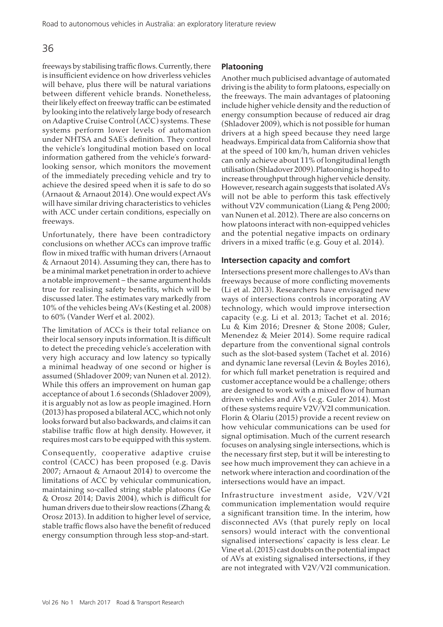freeways by stabilising traffic flows. Currently, there is insufficient evidence on how driverless vehicles will behave, plus there will be natural variations between different vehicle brands. Nonetheless, their likely effect on freeway traffic can be estimated by looking into the relatively large body of research on Adaptive Cruise Control (ACC) systems. These systems perform lower levels of automation under NHTSA and SAE's definition. They control the vehicle's longitudinal motion based on local information gathered from the vehicle's forwardlooking sensor, which monitors the movement of the immediately preceding vehicle and try to achieve the desired speed when it is safe to do so (Arnaout & Arnaout 2014). One would expect AVs will have similar driving characteristics to vehicles with ACC under certain conditions, especially on freeways.

Unfortunately, there have been contradictory conclusions on whether ACCs can improve traffic flow in mixed traffic with human drivers (Arnaout & Arnaout 2014). Assuming they can, there has to be a minimal market penetration in order to achieve a notable improvement – the same argument holds true for realising safety benefits, which will be discussed later. The estimates vary markedly from 10% of the vehicles being AVs (Kesting et al. 2008) to 60% (Vander Werf et al. 2002).

The limitation of ACCs is their total reliance on their local sensory inputs information. It is difficult to detect the preceding vehicle's acceleration with very high accuracy and low latency so typically a minimal headway of one second or higher is assumed (Shladover 2009; van Nunen et al. 2012). While this offers an improvement on human gap acceptance of about 1.6 seconds (Shladover 2009), it is arguably not as low as people imagined. Horn (2013) has proposed a bilateral ACC, which not only looks forward but also backwards, and claims it can stabilise traffic flow at high density. However, it requires most cars to be equipped with this system.

Consequently, cooperative adaptive cruise control (CACC) has been proposed (e.g. Davis 2007; Arnaout & Arnaout 2014) to overcome the limitations of ACC by vehicular communication, maintaining so-called string stable platoons (Ge & Orosz 2014; Davis 2004), which is difficult for human drivers due to their slow reactions (Zhang & Orosz 2013). In addition to higher level of service, stable traffic flows also have the benefit of reduced energy consumption through less stop-and-start.

## **Platooning**

Another much publicised advantage of automated driving is the ability to form platoons, especially on the freeways. The main advantages of platooning include higher vehicle density and the reduction of energy consumption because of reduced air drag (Shladover 2009), which is not possible for human drivers at a high speed because they need large headways. Empirical data from California show that at the speed of 100 km/h, human driven vehicles can only achieve about 11% of longitudinal length utilisation (Shladover 2009). Platooning is hoped to increase throughput through higher vehicle density. However, research again suggests that isolated AVs will not be able to perform this task effectively without V2V communication (Liang & Peng 2000; van Nunen et al. 2012). There are also concerns on how platoons interact with non-equipped vehicles and the potential negative impacts on ordinary drivers in a mixed traffic (e.g. Gouy et al. 2014).

## **Intersection capacity and comfort**

Intersections present more challenges to AVs than freeways because of more conflicting movements (Li et al. 2013). Researchers have envisaged new ways of intersections controls incorporating AV technology, which would improve intersection capacity (e.g. Li et al. 2013; Tachet et al. 2016; Lu & Kim 2016; Dresner & Stone 2008; Guler, Menendez & Meier 2014). Some require radical departure from the conventional signal controls such as the slot-based system (Tachet et al. 2016) and dynamic lane reversal (Levin & Boyles 2016), for which full market penetration is required and customer acceptance would be a challenge; others are designed to work with a mixed flow of human driven vehicles and AVs (e.g. Guler 2014). Most of these systems require V2V/V2I communication. Florin & Olariu (2015) provide a recent review on how vehicular communications can be used for signal optimisation. Much of the current research focuses on analysing single intersections, which is the necessary first step, but it will be interesting to see how much improvement they can achieve in a network where interaction and coordination of the intersections would have an impact.

Infrastructure investment aside, V2V/V2I communication implementation would require a significant transition time. In the interim, how disconnected AVs (that purely reply on local sensors) would interact with the conventional signalised intersections' capacity is less clear. Le Vine et al. (2015) cast doubts on the potential impact of AVs at existing signalised intersections, if they are not integrated with V2V/V2I communication.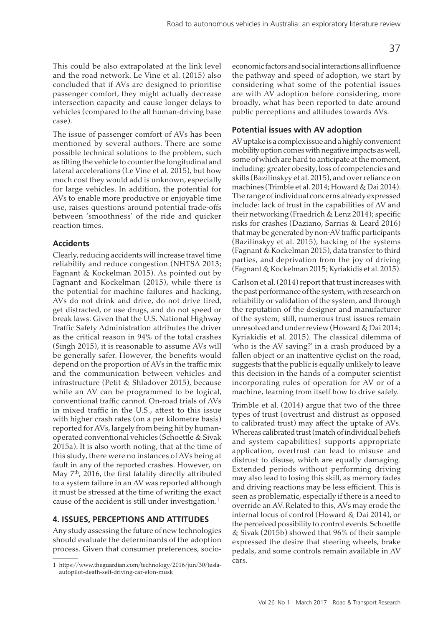This could be also extrapolated at the link level and the road network. Le Vine et al. (2015) also concluded that if AVs are designed to prioritise passenger comfort, they might actually decrease intersection capacity and cause longer delays to vehicles (compared to the all human-driving base case).

The issue of passenger comfort of AVs has been mentioned by several authors. There are some possible technical solutions to the problem, such as tilting the vehicle to counter the longitudinal and lateral accelerations (Le Vine et al. 2015), but how much cost they would add is unknown, especially for large vehicles. In addition, the potential for AVs to enable more productive or enjoyable time use, raises questions around potential trade-offs between 'smoothness' of the ride and quicker reaction times.

## **Accidents**

Clearly, reducing accidents will increase travel time reliability and reduce congestion (NHTSA 2013; Fagnant & Kockelman 2015). As pointed out by Fagnant and Kockelman (2015), while there is the potential for machine failures and hacking, AVs do not drink and drive, do not drive tired, get distracted, or use drugs, and do not speed or break laws. Given that the U.S. National Highway Traffic Safety Administration attributes the driver as the critical reason in 94% of the total crashes (Singh 2015), it is reasonable to assume AVs will be generally safer. However, the benefits would depend on the proportion of AVs in the traffic mix and the communication between vehicles and infrastructure (Petit & Shladover 2015), because while an AV can be programmed to be logical, conventional traffic cannot. On-road trials of AVs in mixed traffic in the U.S., attest to this issue with higher crash rates (on a per kilometre basis) reported for AVs, largely from being hit by humanoperated conventional vehicles (Schoettle & Sivak 2015a). It is also worth noting, that at the time of this study, there were no instances of AVs being at fault in any of the reported crashes. However, on May 7<sup>th</sup>, 2016, the first fatality directly attributed to a system failure in an AV was reported although it must be stressed at the time of writing the exact cause of the accident is still under investigation.1

# **4. ISSUES, PERCEPTIONS AND ATTITUDES**

Any study assessing the future of new technologies should evaluate the determinants of the adoption process. Given that consumer preferences, socioeconomic factors and social interactions all influence the pathway and speed of adoption, we start by considering what some of the potential issues are with AV adoption before considering, more broadly, what has been reported to date around public perceptions and attitudes towards AVs.

# **Potential issues with AV adoption**

AV uptake is a complex issue and a highly convenient mobility option comes with negative impacts as well, some of which are hard to anticipate at the moment, including: greater obesity, loss of competencies and skills (Bazilinskyy et al. 2015), and over reliance on machines (Trimble et al. 2014; Howard & Dai 2014). The range of individual concerns already expressed include: lack of trust in the capabilities of AV and their networking (Fraedrich & Lenz 2014); specific risks for crashes (Daziano, Sarrias & Leard 2016) that may be generated by non-AV traffic participants (Bazilinskyy et al. 2015), hacking of the systems (Fagnant & Kockelman 2015), data transfer to third parties, and deprivation from the joy of driving (Fagnant & Kockelman 2015; Kyriakidis et al. 2015).

Carlson et al. (2014) report that trust increases with the past performance of the system, with research on reliability or validation of the system, and through the reputation of the designer and manufacturer of the system; still, numerous trust issues remain unresolved and under review (Howard & Dai 2014; Kyriakidis et al. 2015). The classical dilemma of 'who is the AV saving?' in a crash produced by a fallen object or an inattentive cyclist on the road, suggests that the public is equally unlikely to leave this decision in the hands of a computer scientist incorporating rules of operation for AV or of a machine, learning from itself how to drive safely.

Trimble et al. (2014) argue that two of the three types of trust (overtrust and distrust as opposed to calibrated trust) may affect the uptake of AVs. Whereas calibrated trust (match of individual beliefs and system capabilities) supports appropriate application, overtrust can lead to misuse and distrust to disuse, which are equally damaging. Extended periods without performing driving may also lead to losing this skill, as memory fades and driving reactions may be less efficient. This is seen as problematic, especially if there is a need to override an AV. Related to this, AVs may erode the internal locus of control (Howard & Dai 2014), or the perceived possibility to control events. Schoettle & Sivak (2015b) showed that 96% of their sample expressed the desire that steering wheels, brake pedals, and some controls remain available in AV cars.

<sup>1</sup> https://www.theguardian.com/technology/2016/jun/30/teslaautopilot-death-self-driving-car-elon-musk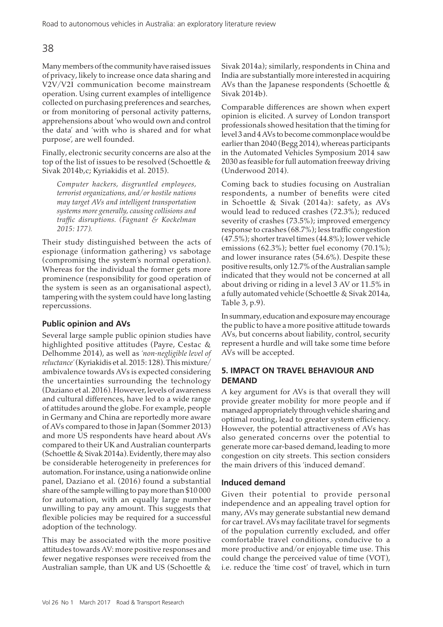Many members of the community have raised issues of privacy, likely to increase once data sharing and V2V/V2I communication become mainstream operation. Using current examples of intelligence collected on purchasing preferences and searches, or from monitoring of personal activity patterns, apprehensions about 'who would own and control the data' and 'with who is shared and for what purpose', are well founded.

Finally, electronic security concerns are also at the top of the list of issues to be resolved (Schoettle & Sivak 2014b,c; Kyriakidis et al. 2015).

*Computer hackers, disgruntled employees, terrorist organizations, and/or hostile nations may target AVs and intelligent transportation systems more generally, causing collisions and traffic disruptions. (Fagnant & Kockelman 2015: 177).*

Their study distinguished between the acts of espionage (information gathering) vs sabotage (compromising the system's normal operation). Whereas for the individual the former gets more prominence (responsibility for good operation of the system is seen as an organisational aspect), tampering with the system could have long lasting repercussions.

# **Public opinion and AVs**

Several large sample public opinion studies have highlighted positive attitudes (Payre, Cestac & Delhomme 2014), as well as *'non-negligible level of reluctance'* (Kyriakidis et al. 2015: 128). This mixture/ ambivalence towards AVs is expected considering the uncertainties surrounding the technology (Daziano et al. 2016). However, levels of awareness and cultural differences, have led to a wide range of attitudes around the globe. For example, people in Germany and China are reportedly more aware of AVs compared to those in Japan (Sommer 2013) and more US respondents have heard about AVs compared to their UK and Australian counterparts (Schoettle & Sivak 2014a). Evidently, there may also be considerable heterogeneity in preferences for automation. For instance, using a nationwide online panel, Daziano et al. (2016) found a substantial share of the sample willing to pay more than \$10 000 for automation, with an equally large number unwilling to pay any amount. This suggests that flexible policies may be required for a successful adoption of the technology.

This may be associated with the more positive attitudes towards AV: more positive responses and fewer negative responses were received from the Australian sample, than UK and US (Schoettle & Sivak 2014a); similarly, respondents in China and India are substantially more interested in acquiring AVs than the Japanese respondents (Schoettle & Sivak 2014b).

Comparable differences are shown when expert opinion is elicited. A survey of London transport professionals showed hesitation that the timing for level 3 and 4 AVs to become commonplace would be earlier than 2040 (Begg 2014), whereas participants in the Automated Vehicles Symposium 2014 saw 2030 as feasible for full automation freeway driving (Underwood 2014).

Coming back to studies focusing on Australian respondents, a number of benefits were cited in Schoettle & Sivak (2014a): safety, as AVs would lead to reduced crashes (72.3%); reduced severity of crashes (73.5%); improved emergency response to crashes (68.7%); less traffic congestion (47.5%); shorter travel times (44.8%); lower vehicle emissions (62.3%); better fuel economy (70.1%); and lower insurance rates (54.6%). Despite these positive results, only 12.7% of the Australian sample indicated that they would not be concerned at all about driving or riding in a level 3 AV or 11.5% in a fully automated vehicle (Schoettle & Sivak 2014a, Table 3, p.9).

In summary, education and exposure may encourage the public to have a more positive attitude towards AVs, but concerns about liability, control, security represent a hurdle and will take some time before AVs will be accepted.

# **5. IMPACT ON TRAVEL BEHAVIOUR AND DEMAND**

A key argument for AVs is that overall they will provide greater mobility for more people and if managed appropriately through vehicle sharing and optimal routing, lead to greater system efficiency. However, the potential attractiveness of AVs has also generated concerns over the potential to generate more car-based demand, leading to more congestion on city streets. This section considers the main drivers of this 'induced demand'.

# **Induced demand**

Given their potential to provide personal independence and an appealing travel option for many, AVs may generate substantial new demand for car travel. AVs may facilitate travel for segments of the population currently excluded, and offer comfortable travel conditions, conducive to a more productive and/or enjoyable time use. This could change the perceived value of time (VOT), i.e. reduce the 'time cost' of travel, which in turn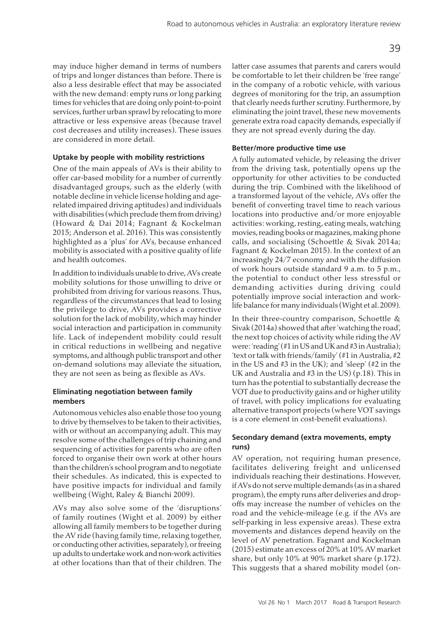may induce higher demand in terms of numbers of trips and longer distances than before. There is also a less desirable effect that may be associated with the new demand: empty runs or long parking times for vehicles that are doing only point-to-point services, further urban sprawl by relocating to more attractive or less expensive areas (because travel cost decreases and utility increases). These issues are considered in more detail.

## **Uptake by people with mobility restrictions**

One of the main appeals of AVs is their ability to offer car-based mobility for a number of currently disadvantaged groups, such as the elderly (with notable decline in vehicle license holding and agerelated impaired driving aptitudes) and individuals with disabilities (which preclude them from driving) (Howard & Dai 2014; Fagnant & Kockelman 2015; Anderson et al. 2016). This was consistently highlighted as a 'plus' for AVs, because enhanced mobility is associated with a positive quality of life and health outcomes.

In addition to individuals unable to drive, AVs create mobility solutions for those unwilling to drive or prohibited from driving for various reasons. Thus, regardless of the circumstances that lead to losing the privilege to drive, AVs provides a corrective solution for the lack of mobility, which may hinder social interaction and participation in community life. Lack of independent mobility could result in critical reductions in wellbeing and negative symptoms, and although public transport and other on-demand solutions may alleviate the situation, they are not seen as being as flexible as AVs.

## **Eliminating negotiation between family members**

Autonomous vehicles also enable those too young to drive by themselves to be taken to their activities, with or without an accompanying adult. This may resolve some of the challenges of trip chaining and sequencing of activities for parents who are often forced to organise their own work at other hours than the children's school program and to negotiate their schedules. As indicated, this is expected to have positive impacts for individual and family wellbeing (Wight, Raley & Bianchi 2009).

AVs may also solve some of the 'disruptions' of family routines (Wight et al. 2009) by either allowing all family members to be together during the AV ride (having family time, relaxing together, or conducting other activities, separately), or freeing up adults to undertake work and non-work activities at other locations than that of their children. The

latter case assumes that parents and carers would be comfortable to let their children be 'free range' in the company of a robotic vehicle, with various degrees of monitoring for the trip, an assumption that clearly needs further scrutiny. Furthermore, by eliminating the joint travel, these new movements generate extra road capacity demands, especially if they are not spread evenly during the day.

## **Better/more productive time use**

A fully automated vehicle, by releasing the driver from the driving task, potentially opens up the opportunity for other activities to be conducted during the trip. Combined with the likelihood of a transformed layout of the vehicle, AVs offer the benefit of converting travel time to reach various locations into productive and/or more enjoyable activities: working, resting, eating meals, watching movies, reading books or magazines, making phone calls, and socialising (Schoettle & Sivak 2014a; Fagnant & Kockelman 2015). In the context of an increasingly 24/7 economy and with the diffusion of work hours outside standard 9 a.m. to 5 p.m., the potential to conduct other less stressful or demanding activities during driving could potentially improve social interaction and worklife balance for many individuals (Wight et al. 2009).

In their three-country comparison, Schoettle & Sivak (2014a) showed that after 'watching the road', the next top choices of activity while riding the AV were: 'reading' (#1 in US and UK and #3 in Australia); 'text or talk with friends/family' (#1 in Australia, #2 in the US and #3 in the UK); and 'sleep' (#2 in the UK and Australia and #3 in the US) (p.18). This in turn has the potential to substantially decrease the VOT due to productivity gains and or higher utility of travel, with policy implications for evaluating alternative transport projects (where VOT savings is a core element in cost-benefit evaluations).

## **Secondary demand (extra movements, empty runs)**

AV operation, not requiring human presence, facilitates delivering freight and unlicensed individuals reaching their destinations. However, if AVs do not serve multiple demands (as in a shared program), the empty runs after deliveries and dropoffs may increase the number of vehicles on the road and the vehicle-mileage (e.g. if the AVs are self-parking in less expensive areas). These extra movements and distances depend heavily on the level of AV penetration. Fagnant and Kockelman (2015) estimate an excess of 20% at 10% AV market share, but only 10% at 90% market share (p.172). This suggests that a shared mobility model (on-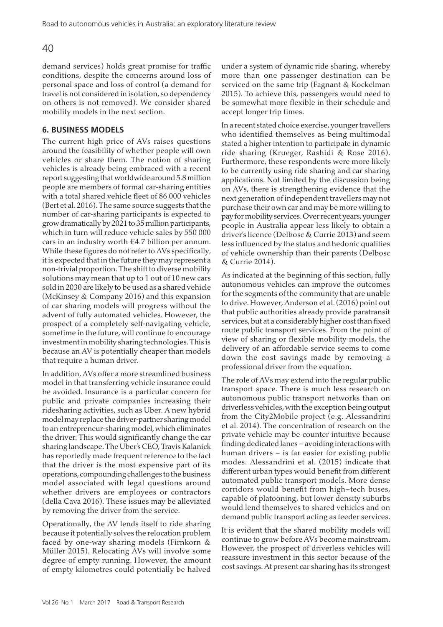demand services) holds great promise for traffic conditions, despite the concerns around loss of personal space and loss of control (a demand for travel is not considered in isolation, so dependency on others is not removed). We consider shared mobility models in the next section.

# **6. BUSINESS MODELS**

The current high price of AVs raises questions around the feasibility of whether people will own vehicles or share them. The notion of sharing vehicles is already being embraced with a recent report suggesting that worldwide around 5.8 million people are members of formal car-sharing entities with a total shared vehicle fleet of 86 000 vehicles (Bert et al. 2016). The same source suggests that the number of car-sharing participants is expected to grow dramatically by 2021 to 35 million participants, which in turn will reduce vehicle sales by 550 000 cars in an industry worth  $\epsilon$ 4.7 billion per annum. While these figures do not refer to AVs specifically, it is expected that in the future they may represent a non-trivial proportion. The shift to diverse mobility solutions may mean that up to 1 out of 10 new cars sold in 2030 are likely to be used as a shared vehicle (McKinsey & Company 2016) and this expansion of car sharing models will progress without the advent of fully automated vehicles. However, the prospect of a completely self-navigating vehicle, sometime in the future, will continue to encourage investment in mobility sharing technologies. This is because an AV is potentially cheaper than models that require a human driver.

In addition, AVs offer a more streamlined business model in that transferring vehicle insurance could be avoided. Insurance is a particular concern for public and private companies increasing their ridesharing activities, such as Uber. A new hybrid model may replace the driver-partner sharing model to an entrepreneur-sharing model, which eliminates the driver. This would significantly change the car sharing landscape. The Uber's CEO, Travis Kalanick has reportedly made frequent reference to the fact that the driver is the most expensive part of its operations, compounding challenges to the business model associated with legal questions around whether drivers are employees or contractors (della Cava 2016). These issues may be alleviated by removing the driver from the service.

Operationally, the AV lends itself to ride sharing because it potentially solves the relocation problem faced by one-way sharing models (Firnkorn & Müller 2015). Relocating AVs will involve some degree of empty running. However, the amount of empty kilometres could potentially be halved under a system of dynamic ride sharing, whereby more than one passenger destination can be serviced on the same trip (Fagnant & Kockelman 2015). To achieve this, passengers would need to be somewhat more flexible in their schedule and accept longer trip times.

In a recent stated choice exercise, younger travellers who identified themselves as being multimodal stated a higher intention to participate in dynamic ride sharing (Krueger, Rashidi & Rose 2016). Furthermore, these respondents were more likely to be currently using ride sharing and car sharing applications. Not limited by the discussion being on AVs, there is strengthening evidence that the next generation of independent travellers may not purchase their own car and may be more willing to pay for mobility services. Over recent years, younger people in Australia appear less likely to obtain a driver's licence (Delbosc & Currie 2013) and seem less influenced by the status and hedonic qualities of vehicle ownership than their parents (Delbosc & Currie 2014).

As indicated at the beginning of this section, fully autonomous vehicles can improve the outcomes for the segments of the community that are unable to drive. However, Anderson et al. (2016) point out that public authorities already provide paratransit services, but at a considerably higher cost than fixed route public transport services. From the point of view of sharing or flexible mobility models, the delivery of an affordable service seems to come down the cost savings made by removing a professional driver from the equation.

The role of AVs may extend into the regular public transport space. There is much less research on autonomous public transport networks than on driverless vehicles, with the exception being output from the City2Mobile project (e.g. Alessandrini et al. 2014). The concentration of research on the private vehicle may be counter intuitive because finding dedicated lanes – avoiding interactions with human drivers – is far easier for existing public modes. Alessandrini et al. (2015) indicate that different urban types would benefit from different automated public transport models. More dense corridors would benefit from high–tech buses, capable of platooning, but lower density suburbs would lend themselves to shared vehicles and on demand public transport acting as feeder services.

It is evident that the shared mobility models will continue to grow before AVs become mainstream. However, the prospect of driverless vehicles will reassure investment in this sector because of the cost savings. At present car sharing has its strongest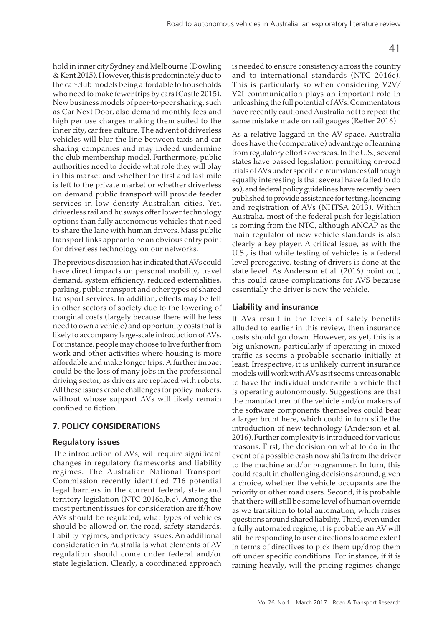hold in inner city Sydney and Melbourne (Dowling & Kent 2015). However, this is predominately due to the car-club models being affordable to households who need to make fewer trips by cars (Castle 2015). New business models of peer-to-peer sharing, such as Car Next Door, also demand monthly fees and high per use charges making them suited to the inner city, car free culture. The advent of driverless vehicles will blur the line between taxis and car sharing companies and may indeed undermine the club membership model. Furthermore, public authorities need to decide what role they will play in this market and whether the first and last mile is left to the private market or whether driverless on demand public transport will provide feeder services in low density Australian cities. Yet, driverless rail and busways offer lower technology options than fully autonomous vehicles that need to share the lane with human drivers. Mass public transport links appear to be an obvious entry point for driverless technology on our networks.

The previous discussion has indicated that AVs could have direct impacts on personal mobility, travel demand, system efficiency, reduced externalities, parking, public transport and other types of shared transport services. In addition, effects may be felt in other sectors of society due to the lowering of marginal costs (largely because there will be less need to own a vehicle) and opportunity costs that is likely to accompany large-scale introduction of AVs. For instance, people may choose to live further from work and other activities where housing is more affordable and make longer trips. A further impact could be the loss of many jobs in the professional driving sector, as drivers are replaced with robots. All these issues create challenges for policy-makers, without whose support AVs will likely remain confined to fiction.

## **7. POLICY CONSIDERATIONS**

## **Regulatory issues**

The introduction of AVs, will require significant changes in regulatory frameworks and liability regimes. The Australian National Transport Commission recently identified 716 potential legal barriers in the current federal, state and territory legislation (NTC 2016a,b,c). Among the most pertinent issues for consideration are if/how AVs should be regulated, what types of vehicles should be allowed on the road, safety standards, liability regimes, and privacy issues. An additional consideration in Australia is what elements of AV regulation should come under federal and/or state legislation. Clearly, a coordinated approach

is needed to ensure consistency across the country and to international standards (NTC 2016c). This is particularly so when considering V2V/ V2I communication plays an important role in unleashing the full potential of AVs. Commentators have recently cautioned Australia not to repeat the same mistake made on rail gauges (Retter 2016).

As a relative laggard in the AV space, Australia does have the (comparative) advantage of learning from regulatory efforts overseas. In the U.S., several states have passed legislation permitting on-road trials of AVs under specific circumstances (although equally interesting is that several have failed to do so), and federal policy guidelines have recently been published to provide assistance for testing, licencing and registration of AVs (NHTSA 2013). Within Australia, most of the federal push for legislation is coming from the NTC, although ANCAP as the main regulator of new vehicle standards is also clearly a key player. A critical issue, as with the U.S., is that while testing of vehicles is a federal level prerogative, testing of drivers is done at the state level. As Anderson et al. (2016) point out, this could cause complications for AVS because essentially the driver is now the vehicle.

## **Liability and insurance**

If AVs result in the levels of safety benefits alluded to earlier in this review, then insurance costs should go down. However, as yet, this is a big unknown, particularly if operating in mixed traffic as seems a probable scenario initially at least. Irrespective, it is unlikely current insurance models will work with AVs as it seems unreasonable to have the individual underwrite a vehicle that is operating autonomously. Suggestions are that the manufacturer of the vehicle and/or makers of the software components themselves could bear a larger brunt here, which could in turn stifle the introduction of new technology (Anderson et al. 2016). Further complexity is introduced for various reasons. First, the decision on what to do in the event of a possible crash now shifts from the driver to the machine and/or programmer. In turn, this could result in challenging decisions around, given a choice, whether the vehicle occupants are the priority or other road users. Second, it is probable that there will still be some level of human override as we transition to total automation, which raises questions around shared liability. Third, even under a fully automated regime, it is probable an AV will still be responding to user directions to some extent in terms of directives to pick them up/drop them off under specific conditions. For instance, if it is raining heavily, will the pricing regimes change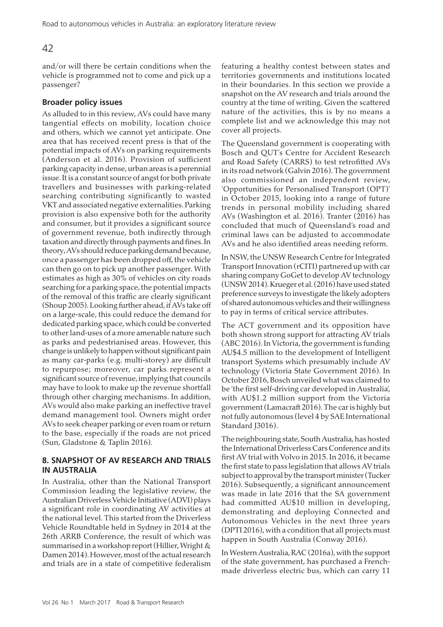and/or will there be certain conditions when the vehicle is programmed not to come and pick up a passenger?

# **Broader policy issues**

As alluded to in this review, AVs could have many tangential effects on mobility, location choice and others, which we cannot yet anticipate. One area that has received recent press is that of the potential impacts of AVs on parking requirements (Anderson et al. 2016). Provision of sufficient parking capacity in dense, urban areas is a perennial issue. It is a constant source of angst for both private travellers and businesses with parking-related searching contributing significantly to wasted VKT and associated negative externalities. Parking provision is also expensive both for the authority and consumer, but it provides a significant source of government revenue, both indirectly through taxation and directly through payments and fines. In theory, AVs should reduce parking demand because, once a passenger has been dropped off, the vehicle can then go on to pick up another passenger. With estimates as high as 30% of vehicles on city roads searching for a parking space, the potential impacts of the removal of this traffic are clearly significant (Shoup 2005). Looking further ahead, if AVs take off on a large-scale, this could reduce the demand for dedicated parking space, which could be converted to other land-uses of a more amenable nature such as parks and pedestrianised areas. However, this change is unlikely to happen without significant pain as many car-parks (e.g. multi-storey) are difficult to repurpose; moreover, car parks represent a significant source of revenue, implying that councils may have to look to make up the revenue shortfall through other charging mechanisms. In addition, AVs would also make parking an ineffective travel demand management tool. Owners might order AVs to seek cheaper parking or even roam or return to the base, especially if the roads are not priced (Sun, Gladstone & Taplin 2016).

## **8. SNAPSHOT OF AV RESEARCH AND TRIALS IN AUSTRALIA**

In Australia, other than the National Transport Commission leading the legislative review, the Australian Driverless Vehicle Initiative (ADVI) plays a significant role in coordinating AV activities at the national level. This started from the Driverless Vehicle Roundtable held in Sydney in 2014 at the 26th ARRB Conference, the result of which was summarised in a workshop report (Hillier, Wright & Damen 2014). However, most of the actual research and trials are in a state of competitive federalism

featuring a healthy contest between states and territories governments and institutions located in their boundaries. In this section we provide a snapshot on the AV research and trials around the country at the time of writing. Given the scattered nature of the activities, this is by no means a complete list and we acknowledge this may not cover all projects.

The Queensland government is cooperating with Bosch and QUT's Centre for Accident Research and Road Safety (CARRS) to test retrofitted AVs in its road network (Galvin 2016). The government also commissioned an independent review, 'Opportunities for Personalised Transport (OPT)' in October 2015, looking into a range of future trends in personal mobility including shared AVs (Washington et al. 2016). Tranter (2016) has concluded that much of Queensland's road and criminal laws can be adjusted to accommodate AVs and he also identified areas needing reform.

In NSW, the UNSW Research Centre for Integrated Transport Innovation (rCITI) partnered up with car sharing company GoGet to develop AV technology (UNSW 2014). Krueger et al. (2016) have used stated preference surveys to investigate the likely adopters of shared autonomous vehicles and their willingness to pay in terms of critical service attributes.

The ACT government and its opposition have both shown strong support for attracting AV trials (ABC 2016). In Victoria, the government is funding AU\$4.5 million to the development of Intelligent transport Systems which presumably include AV technology (Victoria State Government 2016). In October 2016, Bosch unveiled what was claimed to be 'the first self-driving car developed in Australia', with AU\$1.2 million support from the Victoria government (Lamacraft 2016). The car is highly but not fully autonomous (level 4 by SAE International Standard J3016).

The neighbouring state, South Australia, has hosted the International Driverless Cars Conference and its first AV trial with Volvo in 2015. In 2016, it became the first state to pass legislation that allows AV trials subject to approval by the transport minister (Tucker 2016). Subsequently, a significant announcement was made in late 2016 that the SA government had committed AU\$10 million in developing, demonstrating and deploying Connected and Autonomous Vehicles in the next three years (DPTI 2016), with a condition that all projects must happen in South Australia (Conway 2016).

In Western Australia, RAC (2016a), with the support of the state government, has purchased a Frenchmade driverless electric bus, which can carry 11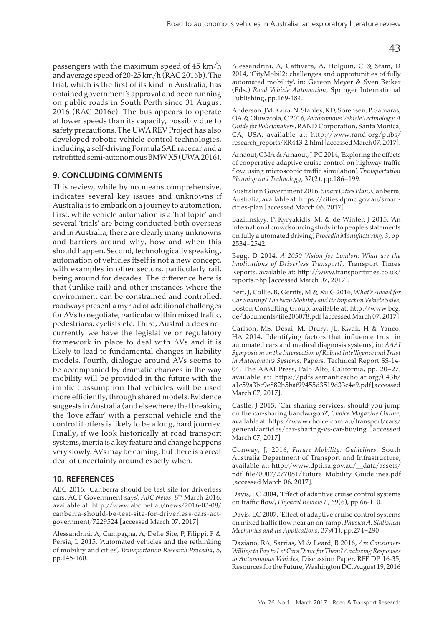passengers with the maximum speed of 45 km/h and average speed of 20-25 km/h (RAC 2016b). The trial, which is the first of its kind in Australia, has obtained government's approval and been running on public roads in South Perth since 31 August 2016 (RAC 2016c). The bus appears to operate at lower speeds than its capacity, possibly due to safety precautions. The UWA REV Project has also developed robotic vehicle control technologies, including a self-driving Formula SAE racecar and a retrofitted semi-autonomous BMW X5 (UWA 2016).

## **9. CONCLUDING COMMENTS**

This review, while by no means comprehensive, indicates several key issues and unknowns if Australia is to embark on a journey to automation. First, while vehicle automation is a 'hot topic' and several 'trials' are being conducted both overseas and in Australia, there are clearly many unknowns and barriers around why, how and when this should happen. Second, technologically speaking, automation of vehicles itself is not a new concept, with examples in other sectors, particularly rail, being around for decades. The difference here is that (unlike rail) and other instances where the environment can be constrained and controlled, roadways present a myriad of additional challenges for AVs to negotiate, particular within mixed traffic, pedestrians, cyclists etc. Third, Australia does not currently we have the legislative or regulatory framework in place to deal with AVs and it is likely to lead to fundamental changes in liability models. Fourth, dialogue around AVs seems to be accompanied by dramatic changes in the way mobility will be provided in the future with the implicit assumption that vehicles will be used more efficiently, through shared models. Evidence suggests in Australia (and elsewhere) that breaking the 'love affair' with a personal vehicle and the control it offers is likely to be a long, hard journey. Finally, if we look historically at road transport systems, inertia is a key feature and change happens very slowly. AVs may be coming, but there is a great deal of uncertainty around exactly when.

## **10. REFERENCES**

ABC 2016, 'Canberra should be test site for driverless cars, ACT Government says', *ABC News*, 8th March 2016, available at: http://www.abc.net.au/news/2016-03-08/ canberra-should-be-test-site-for-driverless-cars-actgovernment/7229524 [accessed March 07, 2017]

Alessandrini, A, Campagna, A, Delle Site, P, Filippi, F & Persia, L 2015, 'Automated vehicles and the rethinking of mobility and cities', *Transportation Research Procedia*, 5, pp.145-160.

Alessandrini, A, Cattivera, A, Holguin, C & Stam, D 2014, 'CityMobil2: challenges and opportunities of fully automated mobility', in: Gereon Meyer & Sven Beiker (Eds.) *Road Vehicle Automation*, Springer International Publishing, pp.169-184.

Anderson, JM, Kalra, N, Stanley, KD, Sorensen, P, Samaras, OA & Oluwatola, C 2016, *Autonomous Vehicle Technology: A Guide for Policymakers*, RAND Corporation, Santa Monica, CA, USA, available at: http://www.rand.org/pubs/ research\_reports/RR443-2.html [accessed March 07, 2017].

Arnaout, GMA & Arnaout, J-PC 2014, 'Exploring the effects of cooperative adaptive cruise control on highway traffic flow using microscopic traffic simulation', *Transportation Planning and Technology*, 37(2), pp.186–199.

Australian Government 2016, *Smart Cities Plan*, Canberra, Australia, available at: https://cities.dpmc.gov.au/smartcities-plan [accessed March 06, 2017].

Bazilinskyy, P, Kyryakidis, M. & de Winter, J 2015, 'An international crowdsourcing study into people's statements on fully a utomated driving', *Procedia Manufacturing, 3*, pp. 2534–2542.

Begg, D 2014, *A 2050 Vision for London: What are the Implications of Driverless Transport?*, Transport Times Reports, available at: http://www.transporttimes.co.uk/ reports.php [accessed March 07, 2017].

Bert, J, Collie, B, Gerrits, M & Xu G 2016, *What's Ahead for Car Sharing? The New Mobility and Its Impact on Vehicle Sales*, Boston Consulting Group, available at: http://www.bcg. de/documents/file206078.pdf [accessed March 07, 2017].

Carlson, MS, Desai, M, Drury, JL, Kwak, H & Yanco, HA 2014, 'Identifying factors that influence trust in automated cars and medical diagnosis systems', in: *AAAI Symposium on the Intersection of Robust Intelligence and Trust in Autonomous Systems*, Papers, Technical Report SS-14- 04, The AAAI Press, Palo Alto, California, pp. 20–27, available at: https://pdfs.semanticscholar.org/043b/ a1c59a3bc9e882b5baf99455d3519d33c4e9.pdf [accessed March 07, 2017].

Castle, J 2015, 'Car sharing services, should you jump on the car-sharing bandwagon?', *Choice Magazine Online*, available at: https://www.choice.com.au/transport/cars/ general/articles/car-sharing-vs-car-buying [accessed March 07, 2017]

Conway, J, 2016, *Future Mobility: Guidelines*, South Australia Department of Transport and Infrastructure, available at: http://www.dpti.sa.gov.au/\_\_data/assets/ pdf\_file/0007/277081/Future\_Mobility\_Guidelines.pdf [accessed March 06, 2017].

Davis, LC 2004, 'Effect of adaptive cruise control systems on traffic flow', *Physical Review E*, 69(6), pp.66-110.

Davis, LC 2007, 'Effect of adaptive cruise control systems on mixed traffic flow near an on-ramp', *Physica A: Statistical Mechanics and its Applications*, 379(1), pp.274–290.

Daziano, RA, Sarrias, M & Leard, B 2016, *Are Consumers Willing to Pay to Let Cars Drive for Them? Analyzing Responses to Autonomous Vehicles*, Discussion Paper, RFF DP 16-35, Resources for the Future, Washington DC, August 19, 2016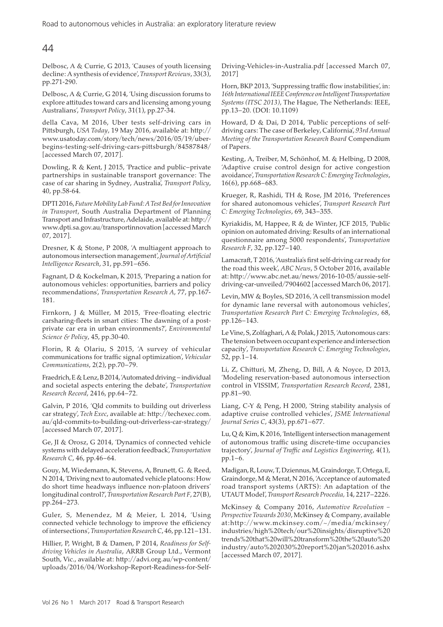Delbosc, A & Currie, G 2013, 'Causes of youth licensing decline: A synthesis of evidence', *Transport Reviews*, 33(3), pp.271-290.

Delbosc, A & Currie, G 2014, 'Using discussion forums to explore attitudes toward cars and licensing among young Australians', *Transport Policy*, 31(1), pp.27-34.

della Cava, M 2016, Uber tests self-driving cars in Pittsburgh, *USA Today*, 19 May 2016, available at: http:// www.usatoday.com/story/tech/news/2016/05/19/uberbegins-testing-self-driving-cars-pittsburgh/84587848/ [accessed March 07, 2017].

Dowling, R & Kent, J 2015, 'Practice and public–private partnerships in sustainable transport governance: The case of car sharing in Sydney, Australia', *Transport Policy*, 40, pp.58-64.

DPTI 2016, *Future Mobility Lab Fund: A Test Bed for Innovation in Transport*, South Australia Department of Planning Transport and Infrastructure, Adelaide, available at: http:// www.dpti.sa.gov.au/transportinnovation [accessed March 07, 2017].

Dresner, K & Stone, P 2008, 'A multiagent approach to autonomous intersection management', *Journal of Artificial Intelligence Research*, 31, pp.591–656.

Fagnant, D & Kockelman, K 2015, 'Preparing a nation for autonomous vehicles: opportunities, barriers and policy recommendations', *Transportation Research A*, 77, pp.167- 181.

Firnkorn, J & Müller, M 2015, 'Free-floating electric carsharing-fleets in smart cities: The dawning of a postprivate car era in urban environments?', *Environmental Science & Policy*, 45, pp.30-40.

Florin, R & Olariu, S 2015, 'A survey of vehicular communications for traffic signal optimization', *Vehicular Communications*, 2(2), pp.70–79.

Fraedrich, E & Lenz, B 2014, 'Automated driving – individual and societal aspects entering the debate', *Transportation Research Record*, 2416, pp.64–72.

Galvin, P 2016, 'Qld commits to building out driverless car strategy', *Tech Exec*, available at: http://techexec.com. au/qld-commits-to-building-out-driverless-car-strategy/ [accessed March 07, 2017].

Ge, JI & Orosz, G 2014, 'Dynamics of connected vehicle systems with delayed acceleration feedback', *Transportation Research C*, 46, pp.46–64.

Gouy, M, Wiedemann, K, Stevens, A, Brunett, G. & Reed, N 2014, 'Driving next to automated vehicle platoons: How do short time headways influence non-platoon drivers' longitudinal control?', *Transportation Research Part F*, 27(B), pp.264–273.

Guler, S, Menendez, M & Meier, L 2014, 'Using connected vehicle technology to improve the efficiency of intersections', *Transportation Research C*, 46, pp.121–131.

Hillier, P, Wright, B & Damen, P 2014, *Readiness for Selfdriving Vehicles in Australia*, ARRB Group Ltd., Vermont South, Vic., available at: http://advi.org.au/wp-content/ uploads/2016/04/Workshop-Report-Readiness-for-SelfDriving-Vehicles-in-Australia.pdf [accessed March 07, 2017]

Horn, BKP 2013, 'Suppressing traffic flow instabilities', in: *16th International IEEE Conference on Intelligent Transportation Systems (ITSC 2013)*, The Hague, The Netherlands: IEEE, pp.13–20. (DOI: 10.1109)

Howard, D & Dai, D 2014, 'Public perceptions of selfdriving cars: The case of Berkeley, California', *93rd Annual Meeting of the Transportation Research Board* Compendium of Papers.

Kesting, A, Treiber, M, Schönhof, M. & Helbing, D 2008, 'Adaptive cruise control design for active congestion avoidance', *Transportation Research C: Emerging Technologies*, 16(6), pp.668–683.

Krueger, R, Rashidi, TH & Rose, JM 2016, 'Preferences for shared autonomous vehicles', *Transport Research Part C: Emerging Technologies*, 69, 343–355.

Kyriakidis, M, Happee, R & de Winter, JCF 2015, 'Public opinion on automated driving: Results of an international questionnaire among 5000 respondents', *Transportation Research F*, 32, pp.127–140.

Lamacraft, T 2016, 'Australia's first self-driving car ready for the road this week', *ABC News*, 5 October 2016, available at: http://www.abc.net.au/news/2016-10-05/aussie-selfdriving-car-unveiled/7904602 [accessed March 06, 2017].

Levin, MW & Boyles, SD 2016, 'A cell transmission model for dynamic lane reversal with autonomous vehicles', *Transportation Research Part C: Emerging Technologies*, 68, pp.126–143.

Le Vine, S, Zolfaghari, A & Polak, J 2015, 'Autonomous cars: The tension between occupant experience and intersection capacity', *Transportation Research C: Emerging Technologies*, 52, pp.1–14.

Li, Z, Chitturi, M, Zheng, D, Bill, A & Noyce, D 2013, 'Modeling reservation-based autonomous intersection control in VISSIM', *Transportation Research Record*, 2381, pp.81–90.

Liang, C-Y & Peng, H 2000, 'String stability analysis of adaptive cruise controlled vehicles', *JSME International Journal Series C*, 43(3), pp.671–677.

Lu, Q & Kim, K 2016, 'Intelligent intersection management of autonomous traffic using discrete-time occupancies trajectory', *Journal of Traffic and Logistics Engineering*, 4(1), pp.1–6.

Madigan, R, Louw, T, Dziennus, M, Graindorge, T, Ortega, E, Graindorge, M & Merat, N 2016, 'Acceptance of automated road transport systems (ARTS): An adaptation of the UTAUT Model', *Transport Research Procedia,* 14, 2217–2226.

McKinsey & Company 2016, *Automotive Revolution – Perspective Towards 2030*, McKinsey & Company, available at:http://www.mckinsey.com/~/media/mckinsey/ industries/high%20tech/our%20insights/disruptive%20 trends%20that%20will%20transform%20the%20auto%20 industry/auto%202030%20report%20jan%202016.ashx [accessed March 07, 2017].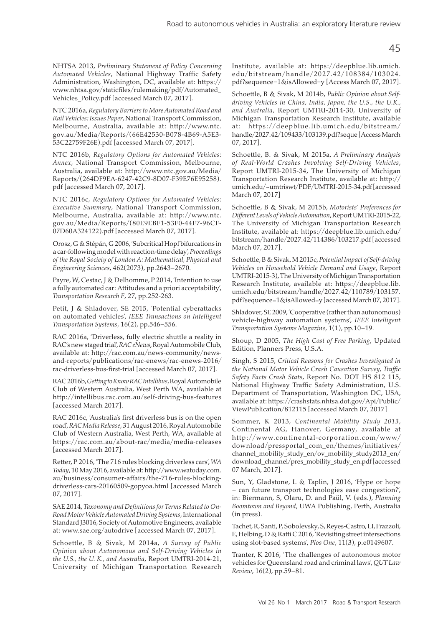NHTSA 2013, *Preliminary Statement of Policy Concerning Automated Vehicles*, National Highway Traffic Safety Administration, Washington, DC, available at: https:// www.nhtsa.gov/staticfiles/rulemaking/pdf/Automated\_ Vehicles\_Policy.pdf [accessed March 07, 2017].

NTC 2016a, *Regulatory Barriers to More Automated Road and Rail Vehicles: Issues Paper*, National Transport Commission, Melbourne, Australia, available at: http://www.ntc. gov.au/Media/Reports/(66E42530-B078-4B69-A5E3- 53C22759F26E).pdf [accessed March 07, 2017].

NTC 2016b, *Regulatory Options for Automated Vehicles: Annex*, National Transport Commission, Melbourne, Australia, available at: http://www.ntc.gov.au/Media/ Reports/(264DF9EA-6247-42C9-8D07-F39E76E95258). pdf [accessed March 07, 2017].

NTC 2016c, *Regulatory Options for Automated Vehicles: Executive Summary*, National Transport Commission, Melbourne, Australia, available at: http://www.ntc. gov.au/Media/Reports/(80E9EBF1-53F0-44F7-96CF-07D60A324122).pdf [accessed March 07, 2017].

Orosz, G & Stépán, G 2006, 'Subcritical Hopf bifurcations in a car-following model with reaction-time delay', *Proceedings of the Royal Society of London A: Mathematical, Physical and Engineering Sciences*, 462(2073), pp.2643–2670.

Payre, W, Cestac, J & Delhomme, P 2014, 'Intention to use a fully automated car: Attitudes and a priori acceptability', *Transportation Research F*, 27, pp.252-263.

Petit, J & Shladover, SE 2015, 'Potential cyberattacks on automated vehicles', *IEEE Transactions on Intelligent Transportation Systems*, 16(2), pp.546–556.

RAC 2016a, 'Driverless, fully electric shuttle a reality in RAC's new staged trial', *RAC eNews*, Royal Automobile Club, available at: http://rac.com.au/news-community/newsand-reports/publications/rac-enews/rac-enews-2016/ rac-driverless-bus-first-trial [accessed March 07, 2017].

RAC 2016b, *Getting to Know RAC Intellibus*, Royal Automobile Club of Western Australia, West Perth WA, available at http://intellibus.rac.com.au/self-driving-bus-features [accessed March 2017].

RAC 2016c, 'Australia's first driverless bus is on the open road', *RAC Media Release*, 31 August 2016, Royal Automobile Club of Western Australia, West Perth, WA, available at https://rac.com.au/about-rac/media/media-releases [accessed March 2017].

Retter, P 2016, 'The 716 rules blocking driverless cars', *WA Today*, 10 May 2016, available at: http://www.watoday.com. au/business/consumer-affairs/the-716-rules-blockingdriverless-cars-20160509-gopyoa.html [accessed March 07, 2017].

SAE 2014, *Taxonomy and Definitions for Terms Related to On-Road Motor Vehicle Automated Driving Systems*, International Standard J3016, Society of Automotive Engineers, available at: www.sae.org/autodrive [accessed March 07, 2017].

Schoettle, B & Sivak, M 2014a, *A Survey of Public Opinion about Autonomous and Self-Driving Vehicles in the U.S., the U. K., and Australia*, Report UMTRI-2014-21, University of Michigan Transportation Research Institute, available at: https://deepblue.lib.umich. edu/bitstream/handle/2027.42/108384/103024. pdf?sequence=1&isAllowed=y [Access March 07, 2017].

Schoettle, B & Sivak, M 2014b, *Public Opinion about Selfdriving Vehicles in China, India, Japan, the U.S., the U.K., and Australia*, Report UMTRI-2014-30, University of Michigan Transportation Research Institute, available at: https://deepblue.lib.umich.edu/bitstream/ handle/2027.42/109433/103139.pdf?seque [Access March 07, 2017].

Schoettle, B. & Sivak, M 2015a, *A Preliminary Analysis of Real-World Crashes Involving Self-Driving Vehicles*, Report UMTRI-2015-34, The University of Michigan Transportation Research Institute, available at: http:// umich.edu/~umtriswt/PDF/UMTRI-2015-34.pdf [accessed March 07, 2017]

Schoettle, B & Sivak, M 2015b, *Motorists' Preferences for Different Levels of Vehicle Automation*, Report UMTRI-2015-22, The University of Michigan Transportation Research Institute, available at: https://deepblue.lib.umich.edu/ bitstream/handle/2027.42/114386/103217.pdf [accessed March 07, 2017].

Schoettle, B & Sivak, M 2015c, *Potential Impact of Self-driving Vehicles on Household Vehicle Demand and Usage*, Report UMTRI-2015-3), The University of Michigan Transportation Research Institute, available at: https://deepblue.lib. umich.edu/bitstream/handle/2027.42/110789/103157. pdf?sequence=1&isAllowed=y [accessed March 07, 2017].

Shladover, SE 2009, 'Cooperative (rather than autonomous) vehicle-highway automation systems', *IEEE Intelligent Transportation Systems Magazine*, 1(1), pp.10–19.

Shoup, D 2005, *The High Cost of Free Parking*, Updated Edition, Planners Press, U.S.A.

Singh, S 2015, *Critical Reasons for Crashes Investigated in the National Motor Vehicle Crash Causation Survey, Traffic Safety Facts Crash Stats*, Report No. DOT HS 812 115, National Highway Traffic Safety Administration, U.S. Department of Transportation, Washington DC, USA, available at: https://crashstats.nhtsa.dot.gov/Api/Public/ ViewPublication/812115 [accessed March 07, 2017]

Sommer, K 2013, *Continental Mobility Study 2013*, Continental AG, Hanover, Germany, available at http://www.continental-corporation.com/www/ download/pressportal\_com\_en/themes/initiatives/ channel mobility study en/ov mobility study2013 en/ download\_channel/pres\_mobility\_study\_en.pdf [accessed 07 March, 2017].

Sun, Y, Gladstone, L & Taplin, J 2016, 'Hype or hope – can future transport technologies ease congestion?', in: Biermann, S, Olaru, D. and Paül, V. (eds.), *Planning Boomtown and Beyond*, UWA Publishing, Perth, Australia (in press).

Tachet, R, Santi, P, Sobolevsky, S, Reyes-Castro, LI, Frazzoli, E, Helbing, D & Ratti C 2016, 'Revisiting street intersections using slot-based systems', *Plos One*, 11(3), p.e0149607.

Tranter, K 2016, 'The challenges of autonomous motor vehicles for Queensland road and criminal laws', *QUT Law Review*, 16(2), pp.59–81.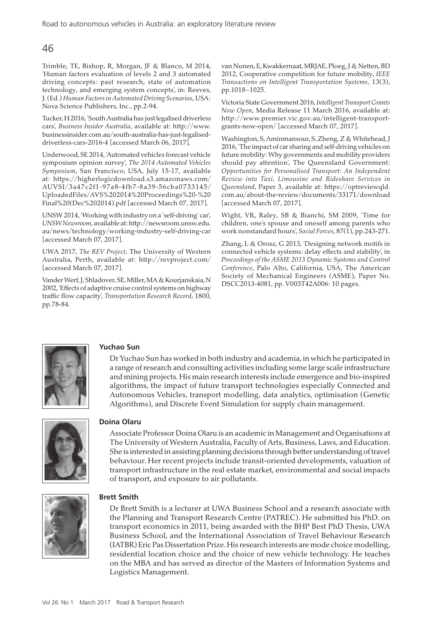Trimble, TE, Bishop, R, Morgan, JF & Blanco, M 2014, 'Human factors evaluation of levels 2 and 3 automated driving concepts: past research, state of automation technology, and emerging system concepts', in: Reeves, J. (Ed.) *Human Factors in Automated Driving Scenarios*, USA: Nova Science Publishers, Inc., pp.2-94.

Tucker, H 2016, 'South Australia has just legalised driverless cars', *Business Insider Australia*, available at: http://www. businessinsider.com.au/south-australia-has-just-legaliseddriverless-cars-2016-4 [accessed March 06, 2017].

Underwood, SE 2014, 'Automated vehicles forecast vehicle symposium opinion survey', *The 2014 Automated Vehicles Symposium*, San Francisco, USA, July 15-17, available at: https://higherlogicdownload.s3.amazonaws.com/ AUVSI/3a47c2f1-97a8-4fb7-8a39-56cba0733145/ UploadedFiles/AVS%202014%20Proceedings%20-%20 Final%20(Dec%202014).pdf [accessed March 07, 2017].

UNSW 2014, 'Working with industry on a 'self-driving' car', *UNSW Newsroom*, available at: http://newsroom.unsw.edu. au/news/technology/working-industry-self-driving-car [accessed March 07, 2017].

UWA 2017, *The REV Project*, The University of Western Australia, Perth, available at: http://revproject.com/ [accessed March 07, 2017].

Vander Werf, J, Shladover, SE, Miller, MA & Kourjanskaia, N 2002, 'Effects of adaptive cruise control systems on highway traffic flow capacity', *Transportation Research Record*, 1800, pp.78-84.

van Nunen, E, Kwakkernaat, MRJAE, Ploeg, J & Netten, BD 2012, Cooperative competition for future mobility, *IEEE Transactions on Intelligent Transportation Systems*, 13(3), pp.1018–1025.

Victoria State Government 2016, *Intelligent Transport Grants Now Open*, Media Release 11 March 2016, available at: http://www.premier.vic.gov.au/intelligent-transportgrants-now-open/ [accessed March 07, 2017].

Washington, S, Aminmansour, S, Zheng, Z & Whitehead, J 2016, 'The impact of car sharing and self-driving vehicles on future mobility: Why governments and mobility providers should pay attention', The Queensland Government: *Opportunities for Personalised Transport: An Independent Review into Taxi, Limousine and Rideshare Services in Queensland*, Paper 3, available at: https://optreviewqld. com.au/about-the-review/documents/33171/download [accessed March 07, 2017].

Wight, VR, Raley, SB & Bianchi, SM 2009, 'Time for children, one's spouse and oneself among parents who work nonstandard hours', *Social Forces*, 87(1), pp.243-271.

Zhang, L & Orosz, G 2013, 'Designing network motifs in connected vehicle systems: delay effects and stability', in *Proceedings of the ASME 2013 Dynamic Systems and Control Conference*, Palo Alto, California, USA, The American Society of Mechanical Engineers (ASME), Paper No. DSCC2013-4081, pp. V003T42A006: 10 pages.



## **Yuchao Sun**

Dr Yuchao Sun has worked in both industry and academia, in which he participated in a range of research and consulting activities including some large scale infrastructure and mining projects. His main research interests include emergence and bio-inspired algorithms, the impact of future transport technologies especially Connected and Autonomous Vehicles, transport modelling, data analytics, optimisation (Genetic Algorithms), and Discrete Event Simulation for supply chain management.



## **Doina Olaru**

Associate Professor Doina Olaru is an academic in Management and Organisations at The University of Western Australia, Faculty of Arts, Business, Laws, and Education. She is interested in assisting planning decisions through better understanding of travel behaviour. Her recent projects include transit-oriented developments, valuation of transport infrastructure in the real estate market, environmental and social impacts of transport, and exposure to air pollutants.



## **Brett Smith**

Dr Brett Smith is a lecturer at UWA Business School and a research associate with the Planning and Transport Research Centre (PATREC). He submitted his PhD. on transport economics in 2011, being awarded with the BHP Best PhD Thesis, UWA Business School, and the International Association of Travel Behaviour Research (IATBR) Eric Pas Dissertation Prize. His research interests are mode choice modelling, residential location choice and the choice of new vehicle technology. He teaches on the MBA and has served as director of the Masters of Information Systems and Logistics Management.